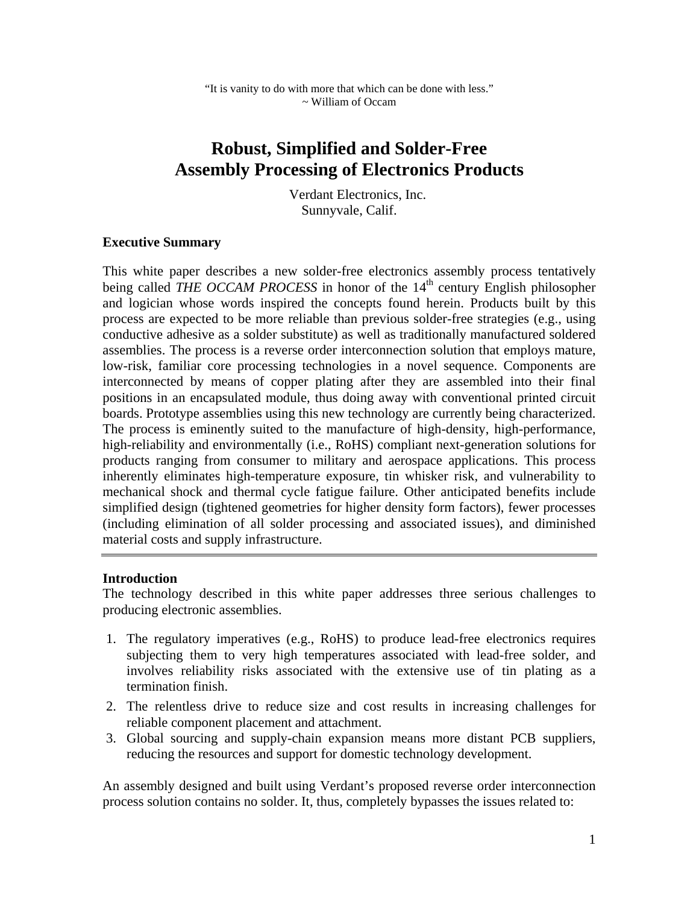# **Robust, Simplified and Solder-Free Assembly Processing of Electronics Products**

 Verdant Electronics, Inc. Sunnyvale, Calif.

#### **Executive Summary**

This white paper describes a new solder-free electronics assembly process tentatively being called *THE OCCAM PROCESS* in honor of the 14<sup>th</sup> century English philosopher and logician whose words inspired the concepts found herein. Products built by this process are expected to be more reliable than previous solder-free strategies (e.g., using conductive adhesive as a solder substitute) as well as traditionally manufactured soldered assemblies. The process is a reverse order interconnection solution that employs mature, low-risk, familiar core processing technologies in a novel sequence. Components are interconnected by means of copper plating after they are assembled into their final positions in an encapsulated module, thus doing away with conventional printed circuit boards. Prototype assemblies using this new technology are currently being characterized. The process is eminently suited to the manufacture of high-density, high-performance, high-reliability and environmentally (i.e., RoHS) compliant next-generation solutions for products ranging from consumer to military and aerospace applications. This process inherently eliminates high-temperature exposure, tin whisker risk, and vulnerability to mechanical shock and thermal cycle fatigue failure. Other anticipated benefits include simplified design (tightened geometries for higher density form factors), fewer processes (including elimination of all solder processing and associated issues), and diminished material costs and supply infrastructure.

#### **Introduction**

The technology described in this white paper addresses three serious challenges to producing electronic assemblies.

- 1. The regulatory imperatives (e.g., RoHS) to produce lead-free electronics requires subjecting them to very high temperatures associated with lead-free solder, and involves reliability risks associated with the extensive use of tin plating as a termination finish.
- 2. The relentless drive to reduce size and cost results in increasing challenges for reliable component placement and attachment.
- 3. Global sourcing and supply-chain expansion means more distant PCB suppliers, reducing the resources and support for domestic technology development.

An assembly designed and built using Verdant's proposed reverse order interconnection process solution contains no solder. It, thus, completely bypasses the issues related to: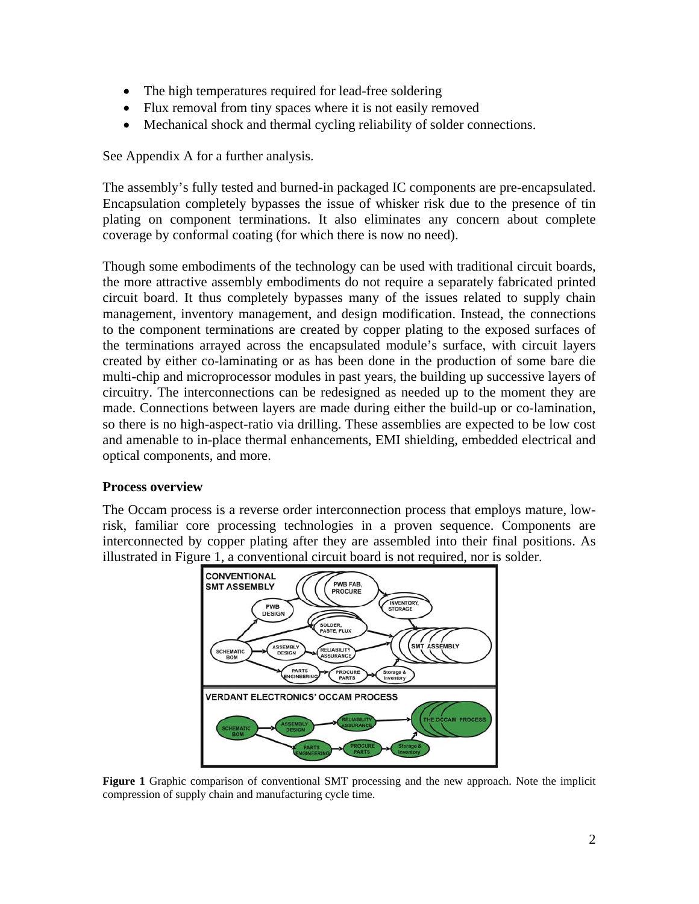- The high temperatures required for lead-free soldering
- Flux removal from tiny spaces where it is not easily removed
- Mechanical shock and thermal cycling reliability of solder connections.

See Appendix A for a further analysis.

The assembly's fully tested and burned-in packaged IC components are pre-encapsulated. Encapsulation completely bypasses the issue of whisker risk due to the presence of tin plating on component terminations. It also eliminates any concern about complete coverage by conformal coating (for which there is now no need).

Though some embodiments of the technology can be used with traditional circuit boards, the more attractive assembly embodiments do not require a separately fabricated printed circuit board. It thus completely bypasses many of the issues related to supply chain management, inventory management, and design modification. Instead, the connections to the component terminations are created by copper plating to the exposed surfaces of the terminations arrayed across the encapsulated module's surface, with circuit layers created by either co-laminating or as has been done in the production of some bare die multi-chip and microprocessor modules in past years, the building up successive layers of circuitry. The interconnections can be redesigned as needed up to the moment they are made. Connections between layers are made during either the build-up or co-lamination, so there is no high-aspect-ratio via drilling. These assemblies are expected to be low cost and amenable to in-place thermal enhancements, EMI shielding, embedded electrical and optical components, and more.

### **Process overview**

The Occam process is a reverse order interconnection process that employs mature, lowrisk, familiar core processing technologies in a proven sequence. Components are interconnected by copper plating after they are assembled into their final positions. As illustrated in Figure 1, a conventional circuit board is not required, nor is solder.



**Figure 1** Graphic comparison of conventional SMT processing and the new approach. Note the implicit compression of supply chain and manufacturing cycle time.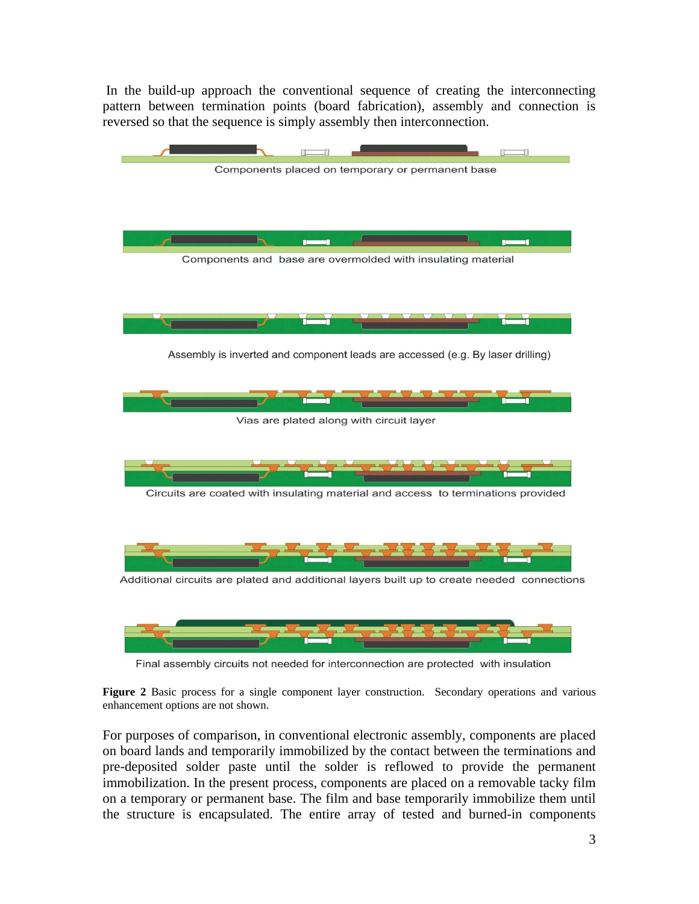In the build-up approach the conventional sequence of creating the interconnecting pattern between termination points (board fabrication), assembly and connection is reversed so that the sequence is simply assembly then interconnection.



Final assembly circuits not needed for interconnection are protected with insulation

**Figure 2** Basic process for a single component layer construction. Secondary operations and various enhancement options are not shown.

For purposes of comparison, in conventional electronic assembly, components are placed on board lands and temporarily immobilized by the contact between the terminations and pre-deposited solder paste until the solder is reflowed to provide the permanent immobilization. In the present process, components are placed on a removable tacky film on a temporary or permanent base. The film and base temporarily immobilize them until the structure is encapsulated. The entire array of tested and burned-in components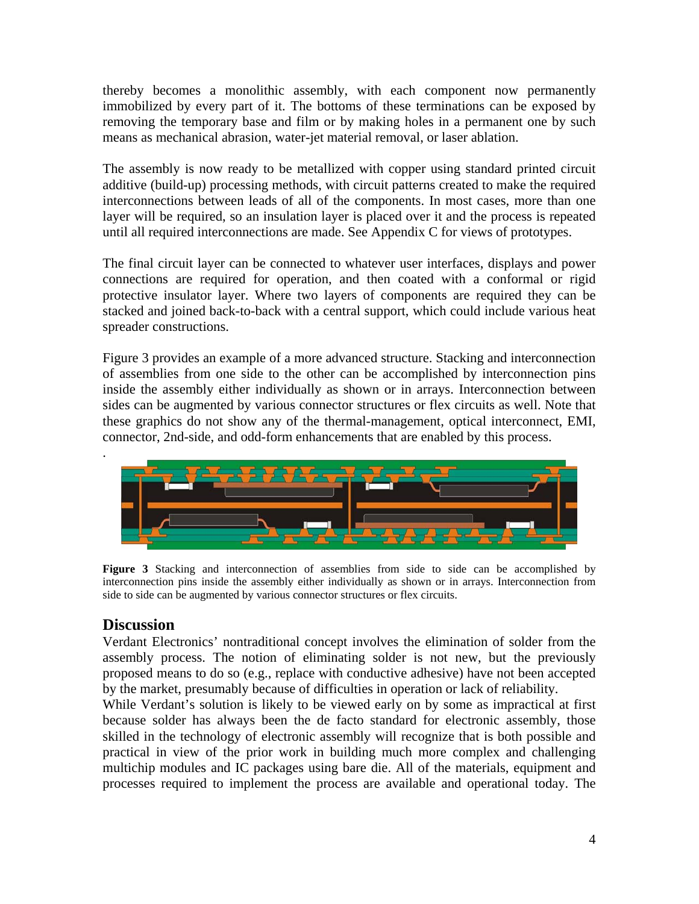thereby becomes a monolithic assembly, with each component now permanently immobilized by every part of it. The bottoms of these terminations can be exposed by removing the temporary base and film or by making holes in a permanent one by such means as mechanical abrasion, water-jet material removal, or laser ablation.

The assembly is now ready to be metallized with copper using standard printed circuit additive (build-up) processing methods, with circuit patterns created to make the required interconnections between leads of all of the components. In most cases, more than one layer will be required, so an insulation layer is placed over it and the process is repeated until all required interconnections are made. See Appendix C for views of prototypes.

The final circuit layer can be connected to whatever user interfaces, displays and power connections are required for operation, and then coated with a conformal or rigid protective insulator layer. Where two layers of components are required they can be stacked and joined back-to-back with a central support, which could include various heat spreader constructions.

Figure 3 provides an example of a more advanced structure. Stacking and interconnection of assemblies from one side to the other can be accomplished by interconnection pins inside the assembly either individually as shown or in arrays. Interconnection between sides can be augmented by various connector structures or flex circuits as well. Note that these graphics do not show any of the thermal-management, optical interconnect, EMI, connector, 2nd-side, and odd-form enhancements that are enabled by this process.



**Figure 3** Stacking and interconnection of assemblies from side to side can be accomplished by interconnection pins inside the assembly either individually as shown or in arrays. Interconnection from side to side can be augmented by various connector structures or flex circuits.

# **Discussion**

Verdant Electronics' nontraditional concept involves the elimination of solder from the assembly process. The notion of eliminating solder is not new, but the previously proposed means to do so (e.g., replace with conductive adhesive) have not been accepted by the market, presumably because of difficulties in operation or lack of reliability.

While Verdant's solution is likely to be viewed early on by some as impractical at first because solder has always been the de facto standard for electronic assembly, those skilled in the technology of electronic assembly will recognize that is both possible and practical in view of the prior work in building much more complex and challenging multichip modules and IC packages using bare die. All of the materials, equipment and processes required to implement the process are available and operational today. The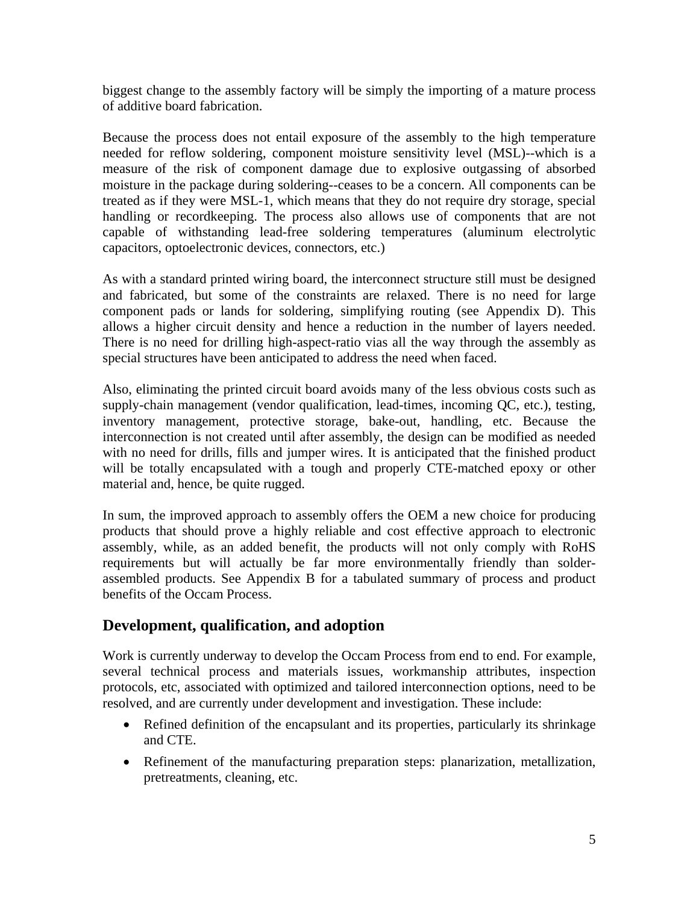biggest change to the assembly factory will be simply the importing of a mature process of additive board fabrication.

Because the process does not entail exposure of the assembly to the high temperature needed for reflow soldering, component moisture sensitivity level (MSL)--which is a measure of the risk of component damage due to explosive outgassing of absorbed moisture in the package during soldering--ceases to be a concern. All components can be treated as if they were MSL-1, which means that they do not require dry storage, special handling or recordkeeping. The process also allows use of components that are not capable of withstanding lead-free soldering temperatures (aluminum electrolytic capacitors, optoelectronic devices, connectors, etc.)

As with a standard printed wiring board, the interconnect structure still must be designed and fabricated, but some of the constraints are relaxed. There is no need for large component pads or lands for soldering, simplifying routing (see Appendix D). This allows a higher circuit density and hence a reduction in the number of layers needed. There is no need for drilling high-aspect-ratio vias all the way through the assembly as special structures have been anticipated to address the need when faced.

Also, eliminating the printed circuit board avoids many of the less obvious costs such as supply-chain management (vendor qualification, lead-times, incoming QC, etc.), testing, inventory management, protective storage, bake-out, handling, etc. Because the interconnection is not created until after assembly, the design can be modified as needed with no need for drills, fills and jumper wires. It is anticipated that the finished product will be totally encapsulated with a tough and properly CTE-matched epoxy or other material and, hence, be quite rugged.

In sum, the improved approach to assembly offers the OEM a new choice for producing products that should prove a highly reliable and cost effective approach to electronic assembly, while, as an added benefit, the products will not only comply with RoHS requirements but will actually be far more environmentally friendly than solderassembled products. See Appendix B for a tabulated summary of process and product benefits of the Occam Process.

# **Development, qualification, and adoption**

Work is currently underway to develop the Occam Process from end to end. For example, several technical process and materials issues, workmanship attributes, inspection protocols, etc, associated with optimized and tailored interconnection options, need to be resolved, and are currently under development and investigation. These include:

- Refined definition of the encapsulant and its properties, particularly its shrinkage and CTE.
- Refinement of the manufacturing preparation steps: planarization, metallization, pretreatments, cleaning, etc.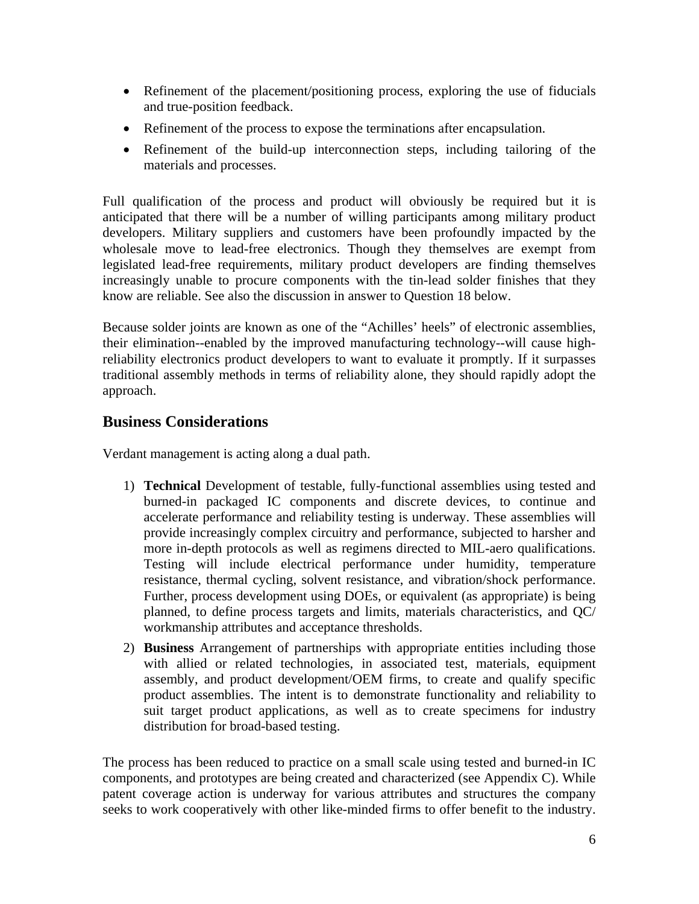- Refinement of the placement/positioning process, exploring the use of fiducials and true-position feedback.
- Refinement of the process to expose the terminations after encapsulation.
- Refinement of the build-up interconnection steps, including tailoring of the materials and processes.

Full qualification of the process and product will obviously be required but it is anticipated that there will be a number of willing participants among military product developers. Military suppliers and customers have been profoundly impacted by the wholesale move to lead-free electronics. Though they themselves are exempt from legislated lead-free requirements, military product developers are finding themselves increasingly unable to procure components with the tin-lead solder finishes that they know are reliable. See also the discussion in answer to Question 18 below.

Because solder joints are known as one of the "Achilles' heels" of electronic assemblies, their elimination--enabled by the improved manufacturing technology--will cause highreliability electronics product developers to want to evaluate it promptly. If it surpasses traditional assembly methods in terms of reliability alone, they should rapidly adopt the approach.

# **Business Considerations**

Verdant management is acting along a dual path.

- 1) **Technical** Development of testable, fully-functional assemblies using tested and burned-in packaged IC components and discrete devices, to continue and accelerate performance and reliability testing is underway. These assemblies will provide increasingly complex circuitry and performance, subjected to harsher and more in-depth protocols as well as regimens directed to MIL-aero qualifications. Testing will include electrical performance under humidity, temperature resistance, thermal cycling, solvent resistance, and vibration/shock performance. Further, process development using DOEs, or equivalent (as appropriate) is being planned, to define process targets and limits, materials characteristics, and QC/ workmanship attributes and acceptance thresholds.
- 2) **Business** Arrangement of partnerships with appropriate entities including those with allied or related technologies, in associated test, materials, equipment assembly, and product development/OEM firms, to create and qualify specific product assemblies. The intent is to demonstrate functionality and reliability to suit target product applications, as well as to create specimens for industry distribution for broad-based testing.

The process has been reduced to practice on a small scale using tested and burned-in IC components, and prototypes are being created and characterized (see Appendix C). While patent coverage action is underway for various attributes and structures the company seeks to work cooperatively with other like-minded firms to offer benefit to the industry.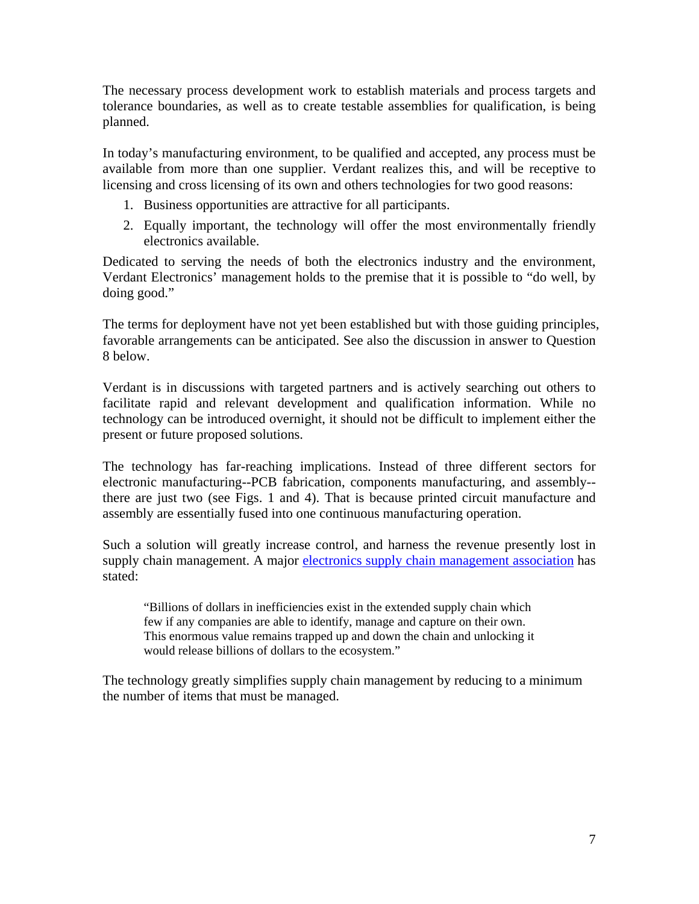The necessary process development work to establish materials and process targets and tolerance boundaries, as well as to create testable assemblies for qualification, is being planned.

In today's manufacturing environment, to be qualified and accepted, any process must be available from more than one supplier. Verdant realizes this, and will be receptive to licensing and cross licensing of its own and others technologies for two good reasons:

- 1. Business opportunities are attractive for all participants.
- 2. Equally important, the technology will offer the most environmentally friendly electronics available.

Dedicated to serving the needs of both the electronics industry and the environment, Verdant Electronics' management holds to the premise that it is possible to "do well, by doing good."

The terms for deployment have not yet been established but with those guiding principles, favorable arrangements can be anticipated. See also the discussion in answer to Question 8 below.

Verdant is in discussions with targeted partners and is actively searching out others to facilitate rapid and relevant development and qualification information. While no technology can be introduced overnight, it should not be difficult to implement either the present or future proposed solutions.

The technology has far-reaching implications. Instead of three different sectors for electronic manufacturing--PCB fabrication, components manufacturing, and assembly- there are just two (see Figs. 1 and 4). That is because printed circuit manufacture and assembly are essentially fused into one continuous manufacturing operation.

Such a solution will greatly increase control, and harness the revenue presently lost in supply chain management. A major [electronics supply chain management association](http://www.electronicssupplychain.org/) has stated:

"Billions of dollars in inefficiencies exist in the extended supply chain which few if any companies are able to identify, manage and capture on their own. This enormous value remains trapped up and down the chain and unlocking it would release billions of dollars to the ecosystem."

The technology greatly simplifies supply chain management by reducing to a minimum the number of items that must be managed.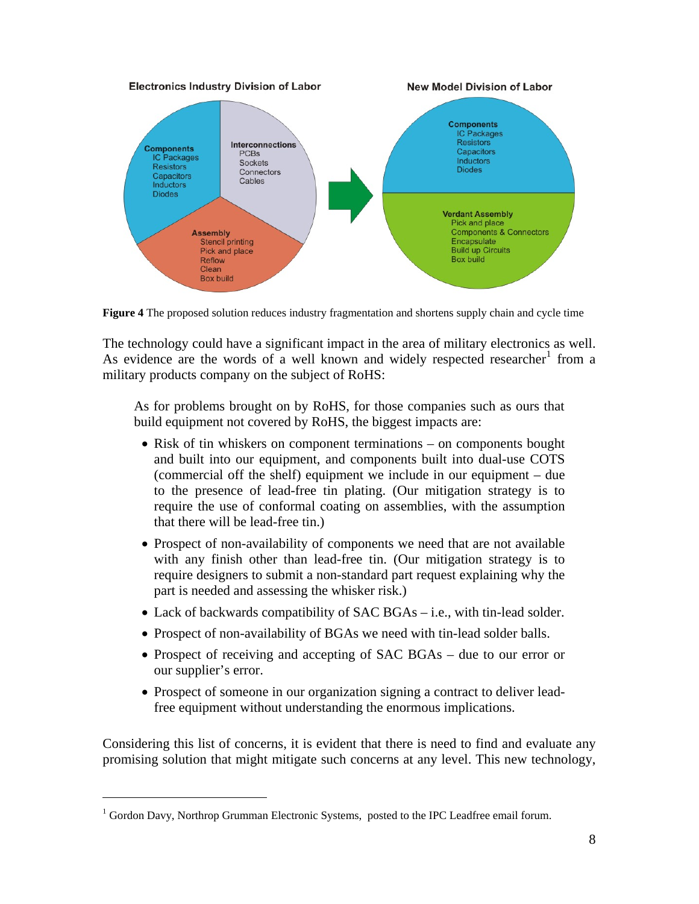

**Figure 4** The proposed solution reduces industry fragmentation and shortens supply chain and cycle time

The technology could have a significant impact in the area of military electronics as well. Asevidence are the words of a well known and widely respected researcher  $1$  from a military products company on the subject of RoHS:

As for problems brought on by RoHS, for those companies such as ours that build equipment not covered by RoHS, the biggest impacts are:

- Risk of tin whiskers on component terminations on components bought and built into our equipment, and components built into dual-use COTS (commercial off the shelf) equipment we include in our equipment – due to the presence of lead-free tin plating. (Our mitigation strategy is to require the use of conformal coating on assemblies, with the assumption that there will be lead-free tin.)
- Prospect of non-availability of components we need that are not available with any finish other than lead-free tin. (Our mitigation strategy is to require designers to submit a non-standard part request explaining why the part is needed and assessing the whisker risk.)
- Lack of backwards compatibility of SAC BGAs i.e., with tin-lead solder.
- Prospect of non-availability of BGAs we need with tin-lead solder balls.
- Prospect of receiving and accepting of SAC BGAs due to our error or our supplier's error.
- Prospect of someone in our organization signing a contract to deliver leadfree equipment without understanding the enormous implications.

Considering this list of concerns, it is evident that there is need to find and evaluate any promising solution that might mitigate such concerns at any level. This new technology,

 $\overline{a}$ 

<span id="page-7-0"></span><sup>&</sup>lt;sup>1</sup> Gordon Davy, Northrop Grumman Electronic Systems, posted to the IPC Leadfree email forum.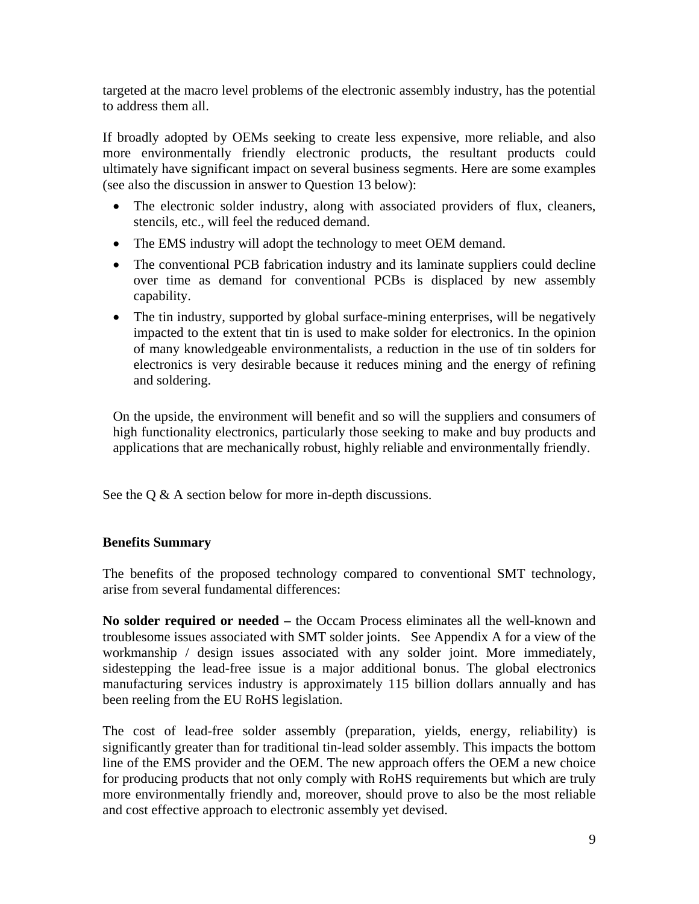targeted at the macro level problems of the electronic assembly industry, has the potential to address them all.

If broadly adopted by OEMs seeking to create less expensive, more reliable, and also more environmentally friendly electronic products, the resultant products could ultimately have significant impact on several business segments. Here are some examples (see also the discussion in answer to Question 13 below):

- The electronic solder industry, along with associated providers of flux, cleaners, stencils, etc., will feel the reduced demand.
- The EMS industry will adopt the technology to meet OEM demand.
- The conventional PCB fabrication industry and its laminate suppliers could decline over time as demand for conventional PCBs is displaced by new assembly capability.
- The tin industry, supported by global surface-mining enterprises, will be negatively impacted to the extent that tin is used to make solder for electronics. In the opinion of many knowledgeable environmentalists, a reduction in the use of tin solders for electronics is very desirable because it reduces mining and the energy of refining and soldering.

On the upside, the environment will benefit and so will the suppliers and consumers of high functionality electronics, particularly those seeking to make and buy products and applications that are mechanically robust, highly reliable and environmentally friendly.

See the Q & A section below for more in-depth discussions.

### **Benefits Summary**

The benefits of the proposed technology compared to conventional SMT technology, arise from several fundamental differences:

**No solder required or needed –** the Occam Process eliminates all the well-known and troublesome issues associated with SMT solder joints. See Appendix A for a view of the workmanship / design issues associated with any solder joint. More immediately, sidestepping the lead-free issue is a major additional bonus. The global electronics manufacturing services industry is approximately 115 billion dollars annually and has been reeling from the EU RoHS legislation.

The cost of lead-free solder assembly (preparation, yields, energy, reliability) is significantly greater than for traditional tin-lead solder assembly. This impacts the bottom line of the EMS provider and the OEM. The new approach offers the OEM a new choice for producing products that not only comply with RoHS requirements but which are truly more environmentally friendly and, moreover, should prove to also be the most reliable and cost effective approach to electronic assembly yet devised.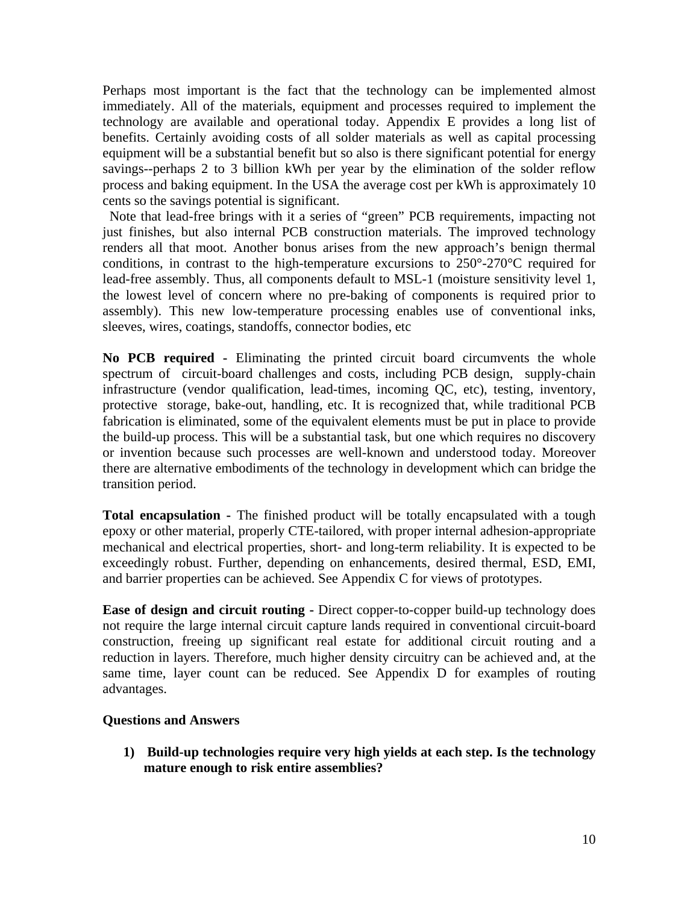Perhaps most important is the fact that the technology can be implemented almost immediately. All of the materials, equipment and processes required to implement the technology are available and operational today. Appendix E provides a long list of benefits. Certainly avoiding costs of all solder materials as well as capital processing equipment will be a substantial benefit but so also is there significant potential for energy savings--perhaps 2 to 3 billion kWh per year by the elimination of the solder reflow process and baking equipment. In the USA the average cost per kWh is approximately 10 cents so the savings potential is significant.

Note that lead-free brings with it a series of "green" PCB requirements, impacting not just finishes, but also internal PCB construction materials. The improved technology renders all that moot. Another bonus arises from the new approach's benign thermal conditions, in contrast to the high-temperature excursions to 250°-270°C required for lead-free assembly. Thus, all components default to MSL-1 (moisture sensitivity level 1, the lowest level of concern where no pre-baking of components is required prior to assembly). This new low-temperature processing enables use of conventional inks, sleeves, wires, coatings, standoffs, connector bodies, etc

**No PCB required -** Eliminating the printed circuit board circumvents the whole spectrum of circuit-board challenges and costs, including PCB design, supply-chain infrastructure (vendor qualification, lead-times, incoming QC, etc), testing, inventory, protective storage, bake-out, handling, etc. It is recognized that, while traditional PCB fabrication is eliminated, some of the equivalent elements must be put in place to provide the build-up process. This will be a substantial task, but one which requires no discovery or invention because such processes are well-known and understood today. Moreover there are alternative embodiments of the technology in development which can bridge the transition period.

**Total encapsulation -** The finished product will be totally encapsulated with a tough epoxy or other material, properly CTE-tailored, with proper internal adhesion-appropriate mechanical and electrical properties, short- and long-term reliability. It is expected to be exceedingly robust. Further, depending on enhancements, desired thermal, ESD, EMI, and barrier properties can be achieved. See Appendix C for views of prototypes.

**Ease of design and circuit routing -** Direct copper-to-copper build-up technology does not require the large internal circuit capture lands required in conventional circuit-board construction, freeing up significant real estate for additional circuit routing and a reduction in layers. Therefore, much higher density circuitry can be achieved and, at the same time, layer count can be reduced. See Appendix D for examples of routing advantages.

#### **Questions and Answers**

**1) Build-up technologies require very high yields at each step. Is the technology mature enough to risk entire assemblies?**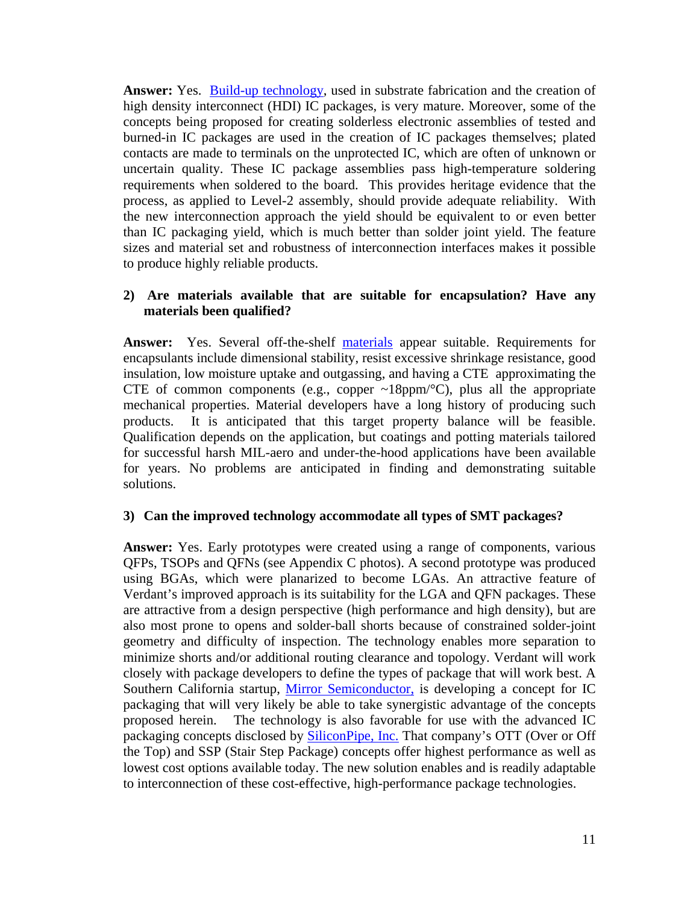**Answer:** Yes. [Build-up technology,](http://www.westwoodpcb.com/_pdf/1 Introduction to HDI.pdf) used in substrate fabrication and the creation of high density interconnect (HDI) IC packages, is very mature. Moreover, some of the concepts being proposed for creating solderless electronic assemblies of tested and burned-in IC packages are used in the creation of IC packages themselves; plated contacts are made to terminals on the unprotected IC, which are often of unknown or uncertain quality. These IC package assemblies pass high-temperature soldering requirements when soldered to the board. This provides heritage evidence that the process, as applied to Level-2 assembly, should provide adequate reliability. With the new interconnection approach the yield should be equivalent to or even better than IC packaging yield, which is much better than solder joint yield. The feature sizes and material set and robustness of interconnection interfaces makes it possible to produce highly reliable products.

#### **2) Are materials available that are suitable for encapsulation? Have any materials been qualified?**

**Answer:** Yes. Several off-the-shelf [materials](http://www.loctite.com/int_henkel/loctite/binarydata/pdf/encapsulants_LT-4145_Final_0306051.pdf) appear suitable. Requirements for encapsulants include dimensional stability, resist excessive shrinkage resistance, good insulation, low moisture uptake and outgassing, and having a CTE approximating the CTE of common components (e.g., copper  $\sim$ 18ppm/ $\degree$ C), plus all the appropriate mechanical properties. Material developers have a long history of producing such products. It is anticipated that this target property balance will be feasible. Qualification depends on the application, but coatings and potting materials tailored for successful harsh MIL-aero and under-the-hood applications have been available for years. No problems are anticipated in finding and demonstrating suitable solutions.

#### **3) Can the improved technology accommodate all types of SMT packages?**

**Answer:** Yes. Early prototypes were created using a range of components, various QFPs, TSOPs and QFNs (see Appendix C photos). A second prototype was produced using BGAs, which were planarized to become LGAs. An attractive feature of Verdant's improved approach is its suitability for the LGA and QFN packages. These are attractive from a design perspective (high performance and high density), but are also most prone to opens and solder-ball shorts because of constrained solder-joint geometry and difficulty of inspection. The technology enables more separation to minimize shorts and/or additional routing clearance and topology. Verdant will work closely with package developers to define the types of package that will work best. A Southern California startup, [Mirror Semiconductor,](http://www.mirrorsemi.com/) is developing a concept for IC packaging that will very likely be able to take synergistic advantage of the concepts proposed herein. The technology is also favorable for use with the advanced IC packaging concepts disclosed by [SiliconPipe, Inc.](http://www.siliconpipe.com/) That company's OTT (Over or Off the Top) and SSP (Stair Step Package) concepts offer highest performance as well as lowest cost options available today. The new solution enables and is readily adaptable to interconnection of these cost-effective, high-performance package technologies.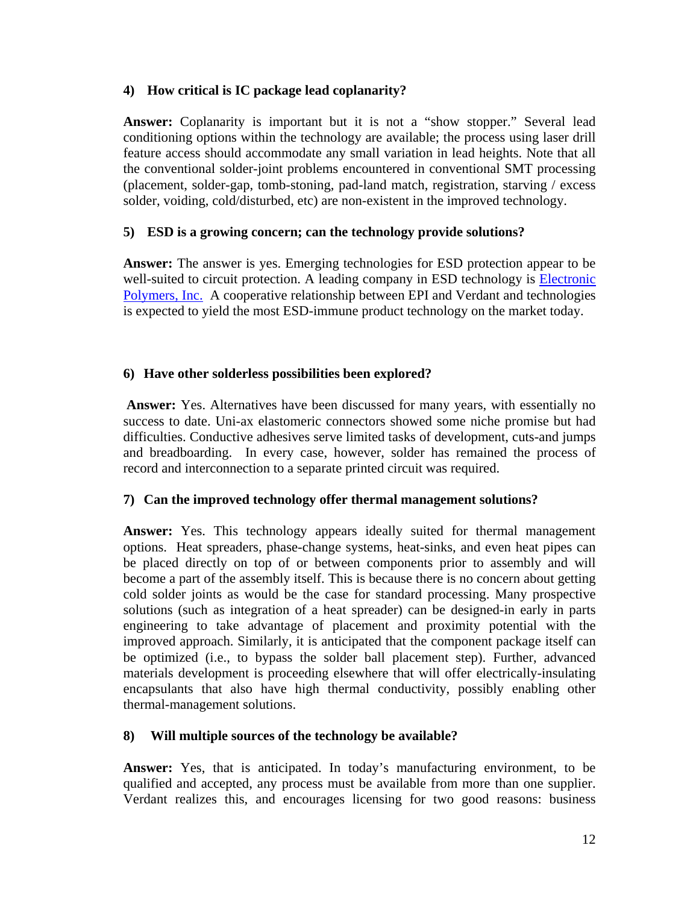### **4) How critical is IC package lead coplanarity?**

**Answer:** Coplanarity is important but it is not a "show stopper." Several lead conditioning options within the technology are available; the process using laser drill feature access should accommodate any small variation in lead heights. Note that all the conventional solder-joint problems encountered in conventional SMT processing (placement, solder-gap, tomb-stoning, pad-land match, registration, starving / excess solder, voiding, cold/disturbed, etc) are non-existent in the improved technology.

### **5) ESD is a growing concern; can the technology provide solutions?**

**Answer:** The answer is yes. Emerging technologies for ESD protection appear to be well-suited to circuit protection. A leading company in ESD technology is Electronic [Polymers, Inc.](http://www.electronicpolymers.com/) A cooperative relationship between EPI and Verdant and technologies is expected to yield the most ESD-immune product technology on the market today.

### **6) Have other solderless possibilities been explored?**

 **Answer:** Yes. Alternatives have been discussed for many years, with essentially no success to date. Uni-ax elastomeric connectors showed some niche promise but had difficulties. Conductive adhesives serve limited tasks of development, cuts-and jumps and breadboarding. In every case, however, solder has remained the process of record and interconnection to a separate printed circuit was required.

### **7) Can the improved technology offer thermal management solutions?**

**Answer:** Yes. This technology appears ideally suited for thermal management options. Heat spreaders, phase-change systems, heat-sinks, and even heat pipes can be placed directly on top of or between components prior to assembly and will become a part of the assembly itself. This is because there is no concern about getting cold solder joints as would be the case for standard processing. Many prospective solutions (such as integration of a heat spreader) can be designed-in early in parts engineering to take advantage of placement and proximity potential with the improved approach. Similarly, it is anticipated that the component package itself can be optimized (i.e., to bypass the solder ball placement step). Further, advanced materials development is proceeding elsewhere that will offer electrically-insulating encapsulants that also have high thermal conductivity, possibly enabling other thermal-management solutions.

### **8) Will multiple sources of the technology be available?**

**Answer:** Yes, that is anticipated. In today's manufacturing environment, to be qualified and accepted, any process must be available from more than one supplier. Verdant realizes this, and encourages licensing for two good reasons: business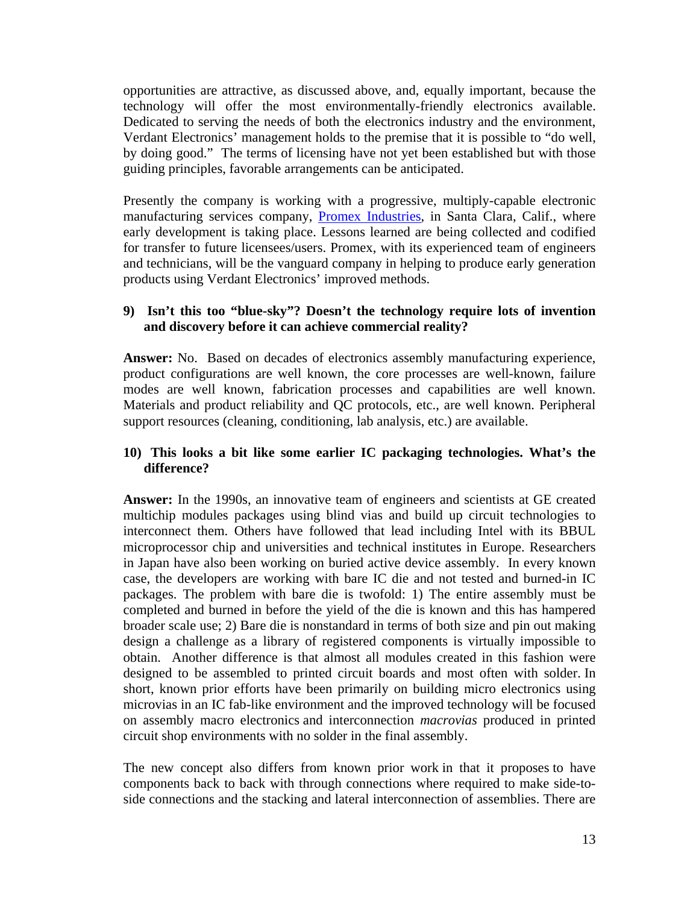opportunities are attractive, as discussed above, and, equally important, because the technology will offer the most environmentally-friendly electronics available. Dedicated to serving the needs of both the electronics industry and the environment, Verdant Electronics' management holds to the premise that it is possible to "do well, by doing good." The terms of licensing have not yet been established but with those guiding principles, favorable arrangements can be anticipated.

Presently the company is working with a progressive, multiply-capable electronic manufacturing services company, [Promex Industries,](http://www.promex-ind.com/) in Santa Clara, Calif., where early development is taking place. Lessons learned are being collected and codified for transfer to future licensees/users. Promex, with its experienced team of engineers and technicians, will be the vanguard company in helping to produce early generation products using Verdant Electronics' improved methods.

### **9) Isn't this too "blue-sky"? Doesn't the technology require lots of invention and discovery before it can achieve commercial reality?**

**Answer:** No. Based on decades of electronics assembly manufacturing experience, product configurations are well known, the core processes are well-known, failure modes are well known, fabrication processes and capabilities are well known. Materials and product reliability and QC protocols, etc., are well known. Peripheral support resources (cleaning, conditioning, lab analysis, etc.) are available.

### **10) This looks a bit like some earlier IC packaging technologies. What's the difference?**

**Answer:** In the 1990s, an innovative team of engineers and scientists at GE created multichip modules packages using blind vias and build up circuit technologies to interconnect them. Others have followed that lead including Intel with its BBUL microprocessor chip and universities and technical institutes in Europe. Researchers in Japan have also been working on buried active device assembly. In every known case, the developers are working with bare IC die and not tested and burned-in IC packages. The problem with bare die is twofold: 1) The entire assembly must be completed and burned in before the yield of the die is known and this has hampered broader scale use; 2) Bare die is nonstandard in terms of both size and pin out making design a challenge as a library of registered components is virtually impossible to obtain. Another difference is that almost all modules created in this fashion were designed to be assembled to printed circuit boards and most often with solder. In short, known prior efforts have been primarily on building micro electronics using microvias in an IC fab-like environment and the improved technology will be focused on assembly macro electronics and interconnection *macrovias* produced in printed circuit shop environments with no solder in the final assembly.

The new concept also differs from known prior work in that it proposes to have components back to back with through connections where required to make side-toside connections and the stacking and lateral interconnection of assemblies. There are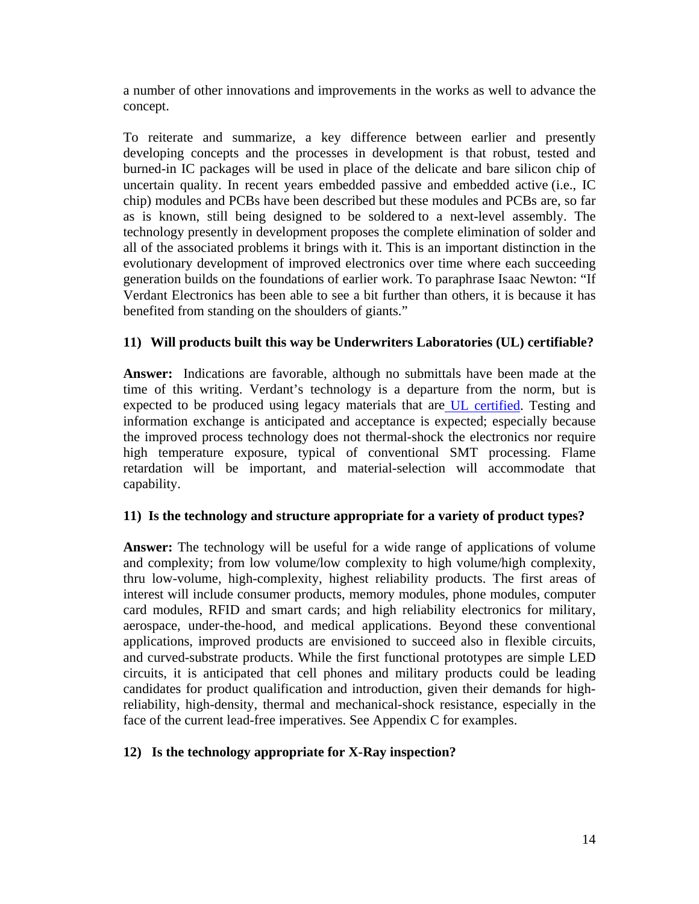a number of other innovations and improvements in the works as well to advance the concept.

To reiterate and summarize, a key difference between earlier and presently developing concepts and the processes in development is that robust, tested and burned-in IC packages will be used in place of the delicate and bare silicon chip of uncertain quality. In recent years embedded passive and embedded active (i.e., IC chip) modules and PCBs have been described but these modules and PCBs are, so far as is known, still being designed to be soldered to a next-level assembly. The technology presently in development proposes the complete elimination of solder and all of the associated problems it brings with it. This is an important distinction in the evolutionary development of improved electronics over time where each succeeding generation builds on the foundations of earlier work. To paraphrase Isaac Newton: "If Verdant Electronics has been able to see a bit further than others, it is because it has benefited from standing on the shoulders of giants."

### **11) Will products built this way be Underwriters Laboratories (UL) certifiable?**

**Answer:** Indications are favorable, although no submittals have been made at the time of this writing. Verdant's technology is a departure from the norm, but is expected to be produced using legacy materials that are [UL certified.](http://www.ul.com/plastics/flame.html) Testing and information exchange is anticipated and acceptance is expected; especially because the improved process technology does not thermal-shock the electronics nor require high temperature exposure, typical of conventional SMT processing. Flame retardation will be important, and material-selection will accommodate that capability.

#### **11) Is the technology and structure appropriate for a variety of product types?**

**Answer:** The technology will be useful for a wide range of applications of volume and complexity; from low volume/low complexity to high volume/high complexity, thru low-volume, high-complexity, highest reliability products. The first areas of interest will include consumer products, memory modules, phone modules, computer card modules, RFID and smart cards; and high reliability electronics for military, aerospace, under-the-hood, and medical applications. Beyond these conventional applications, improved products are envisioned to succeed also in flexible circuits, and curved-substrate products. While the first functional prototypes are simple LED circuits, it is anticipated that cell phones and military products could be leading candidates for product qualification and introduction, given their demands for highreliability, high-density, thermal and mechanical-shock resistance, especially in the face of the current lead-free imperatives. See Appendix C for examples.

#### **12) Is the technology appropriate for X-Ray inspection?**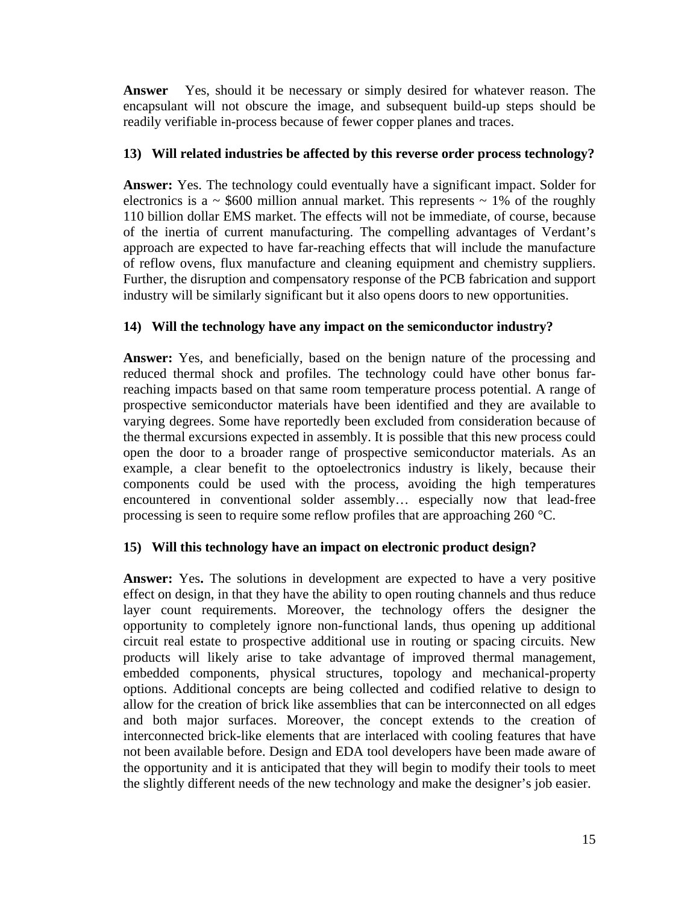**Answer** Yes, should it be necessary or simply desired for whatever reason. The encapsulant will not obscure the image, and subsequent build-up steps should be readily verifiable in-process because of fewer copper planes and traces.

### **13) Will related industries be affected by this reverse order process technology?**

**Answer:** Yes. The technology could eventually have a significant impact. Solder for electronics is a  $\sim$  \$600 million annual market. This represents  $\sim$  1% of the roughly 110 billion dollar EMS market. The effects will not be immediate, of course, because of the inertia of current manufacturing. The compelling advantages of Verdant's approach are expected to have far-reaching effects that will include the manufacture of reflow ovens, flux manufacture and cleaning equipment and chemistry suppliers. Further, the disruption and compensatory response of the PCB fabrication and support industry will be similarly significant but it also opens doors to new opportunities.

### **14) Will the technology have any impact on the semiconductor industry?**

**Answer:** Yes, and beneficially, based on the benign nature of the processing and reduced thermal shock and profiles. The technology could have other bonus farreaching impacts based on that same room temperature process potential. A range of prospective semiconductor materials have been identified and they are available to varying degrees. Some have reportedly been excluded from consideration because of the thermal excursions expected in assembly. It is possible that this new process could open the door to a broader range of prospective semiconductor materials. As an example, a clear benefit to the optoelectronics industry is likely, because their components could be used with the process, avoiding the high temperatures encountered in conventional solder assembly… especially now that lead-free processing is seen to require some reflow profiles that are approaching 260 °C.

### **15) Will this technology have an impact on electronic product design?**

**Answer:** Yes**.** The solutions in development are expected to have a very positive effect on design, in that they have the ability to open routing channels and thus reduce layer count requirements. Moreover, the technology offers the designer the opportunity to completely ignore non-functional lands, thus opening up additional circuit real estate to prospective additional use in routing or spacing circuits. New products will likely arise to take advantage of improved thermal management, embedded components, physical structures, topology and mechanical-property options. Additional concepts are being collected and codified relative to design to allow for the creation of brick like assemblies that can be interconnected on all edges and both major surfaces. Moreover, the concept extends to the creation of interconnected brick-like elements that are interlaced with cooling features that have not been available before. Design and EDA tool developers have been made aware of the opportunity and it is anticipated that they will begin to modify their tools to meet the slightly different needs of the new technology and make the designer's job easier.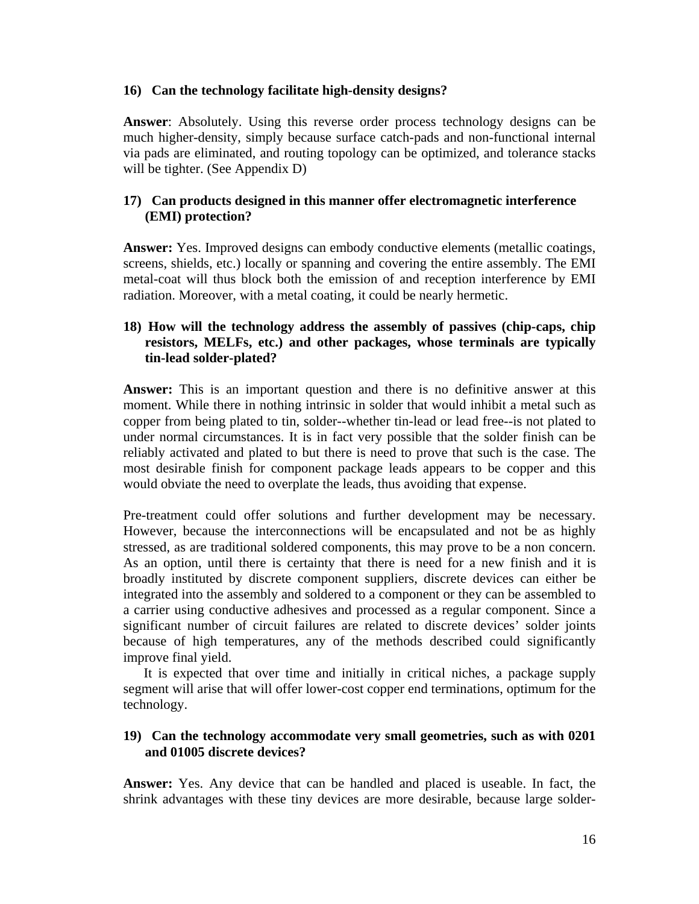#### **16) Can the technology facilitate high-density designs?**

**Answer**: Absolutely. Using this reverse order process technology designs can be much higher-density, simply because surface catch-pads and non-functional internal via pads are eliminated, and routing topology can be optimized, and tolerance stacks will be tighter. (See Appendix D)

### **17) Can products designed in this manner offer electromagnetic interference (EMI) protection?**

**Answer:** Yes. Improved designs can embody conductive elements (metallic coatings, screens, shields, etc.) locally or spanning and covering the entire assembly. The EMI metal-coat will thus block both the emission of and reception interference by EMI radiation. Moreover, with a metal coating, it could be nearly hermetic.

### **18) How will the technology address the assembly of passives (chip-caps, chip resistors, MELFs, etc.) and other packages, whose terminals are typically tin-lead solder-plated?**

**Answer:** This is an important question and there is no definitive answer at this moment. While there in nothing intrinsic in solder that would inhibit a metal such as copper from being plated to tin, solder--whether tin-lead or lead free--is not plated to under normal circumstances. It is in fact very possible that the solder finish can be reliably activated and plated to but there is need to prove that such is the case. The most desirable finish for component package leads appears to be copper and this would obviate the need to overplate the leads, thus avoiding that expense.

Pre-treatment could offer solutions and further development may be necessary. However, because the interconnections will be encapsulated and not be as highly stressed, as are traditional soldered components, this may prove to be a non concern. As an option, until there is certainty that there is need for a new finish and it is broadly instituted by discrete component suppliers, discrete devices can either be integrated into the assembly and soldered to a component or they can be assembled to a carrier using conductive adhesives and processed as a regular component. Since a significant number of circuit failures are related to discrete devices' solder joints because of high temperatures, any of the methods described could significantly improve final yield.

It is expected that over time and initially in critical niches, a package supply segment will arise that will offer lower-cost copper end terminations, optimum for the technology.

### **19) Can the technology accommodate very small geometries, such as with 0201 and 01005 discrete devices?**

**Answer:** Yes. Any device that can be handled and placed is useable. In fact, the shrink advantages with these tiny devices are more desirable, because large solder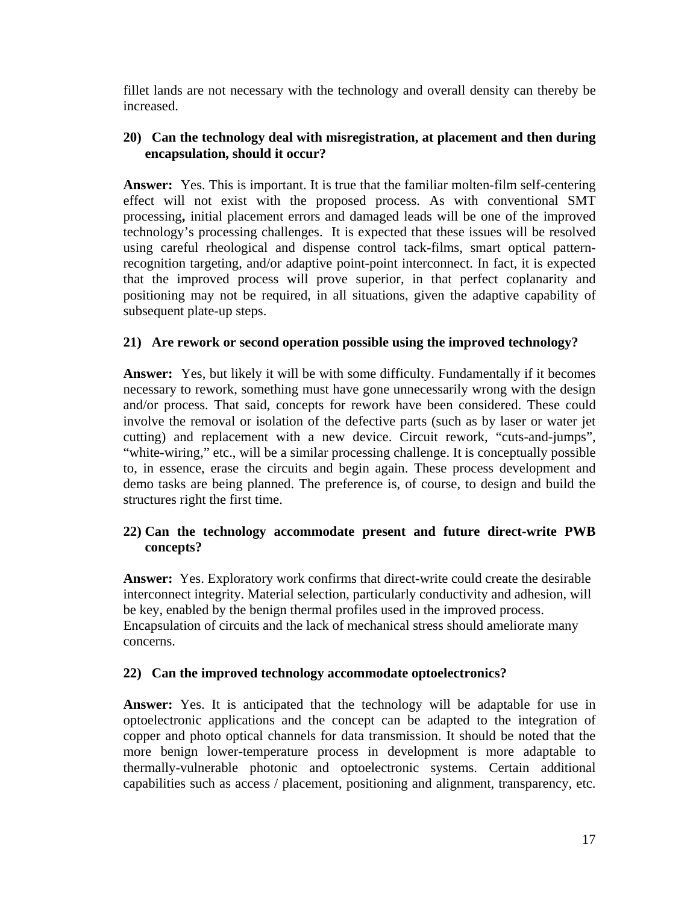fillet lands are not necessary with the technology and overall density can thereby be increased.

#### **20) Can the technology deal with misregistration, at placement and then during encapsulation, should it occur?**

**Answer:** Yes. This is important. It is true that the familiar molten-film self-centering effect will not exist with the proposed process. As with conventional SMT processing**,** initial placement errors and damaged leads will be one of the improved technology's processing challenges. It is expected that these issues will be resolved using careful rheological and dispense control tack-films, smart optical patternrecognition targeting, and/or adaptive point-point interconnect. In fact, it is expected that the improved process will prove superior, in that perfect coplanarity and positioning may not be required, in all situations, given the adaptive capability of subsequent plate-up steps.

### **21) Are rework or second operation possible using the improved technology?**

**Answer:** Yes, but likely it will be with some difficulty. Fundamentally if it becomes necessary to rework, something must have gone unnecessarily wrong with the design and/or process. That said, concepts for rework have been considered. These could involve the removal or isolation of the defective parts (such as by laser or water jet cutting) and replacement with a new device. Circuit rework, "cuts-and-jumps", "white-wiring," etc., will be a similar processing challenge. It is conceptually possible to, in essence, erase the circuits and begin again. These process development and demo tasks are being planned. The preference is, of course, to design and build the structures right the first time.

### **22) Can the technology accommodate present and future direct-write PWB concepts?**

**Answer:** Yes. Exploratory work confirms that direct-write could create the desirable interconnect integrity. Material selection, particularly conductivity and adhesion, will be key, enabled by the benign thermal profiles used in the improved process. Encapsulation of circuits and the lack of mechanical stress should ameliorate many concerns.

#### **22) Can the improved technology accommodate optoelectronics?**

**Answer:** Yes. It is anticipated that the technology will be adaptable for use in optoelectronic applications and the concept can be adapted to the integration of copper and photo optical channels for data transmission. It should be noted that the more benign lower-temperature process in development is more adaptable to thermally-vulnerable photonic and optoelectronic systems. Certain additional capabilities such as access / placement, positioning and alignment, transparency, etc.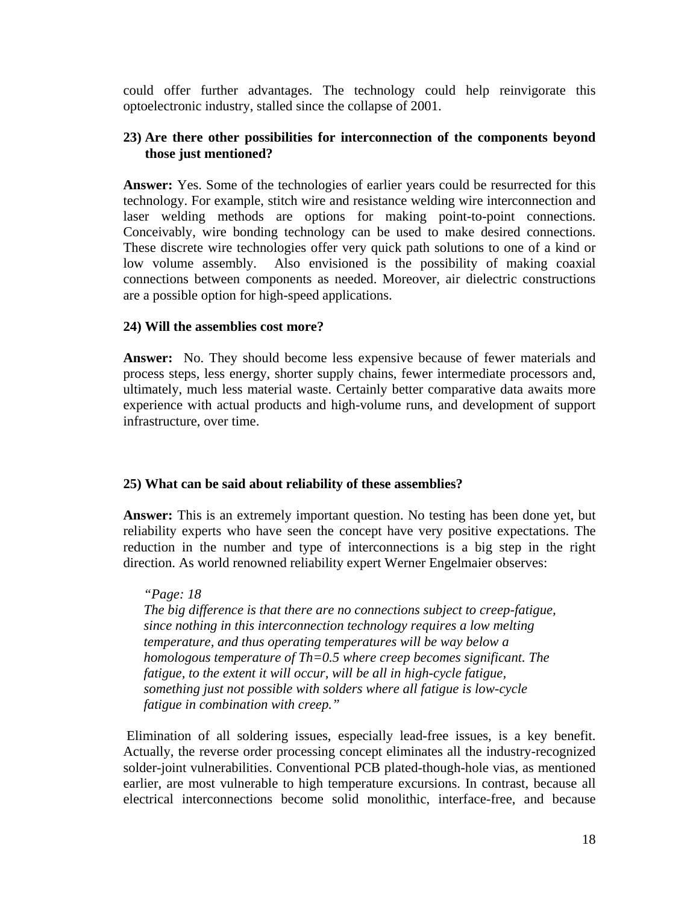could offer further advantages. The technology could help reinvigorate this optoelectronic industry, stalled since the collapse of 2001.

#### **23) Are there other possibilities for interconnection of the components beyond those just mentioned?**

**Answer:** Yes. Some of the technologies of earlier years could be resurrected for this technology. For example, stitch wire and resistance welding wire interconnection and laser welding methods are options for making point-to-point connections. Conceivably, wire bonding technology can be used to make desired connections. These discrete wire technologies offer very quick path solutions to one of a kind or low volume assembly. Also envisioned is the possibility of making coaxial connections between components as needed. Moreover, air dielectric constructions are a possible option for high-speed applications.

#### **24) Will the assemblies cost more?**

**Answer:** No. They should become less expensive because of fewer materials and process steps, less energy, shorter supply chains, fewer intermediate processors and, ultimately, much less material waste. Certainly better comparative data awaits more experience with actual products and high-volume runs, and development of support infrastructure, over time.

#### **25) What can be said about reliability of these assemblies?**

**Answer:** This is an extremely important question. No testing has been done yet, but reliability experts who have seen the concept have very positive expectations. The reduction in the number and type of interconnections is a big step in the right direction. As world renowned reliability expert Werner Engelmaier observes:

*"Page: 18 The big difference is that there are no connections subject to creep-fatigue, since nothing in this interconnection technology requires a low melting temperature, and thus operating temperatures will be way below a homologous temperature of Th=0.5 where creep becomes significant. The fatigue, to the extent it will occur, will be all in high-cycle fatigue, something just not possible with solders where all fatigue is low-cycle fatigue in combination with creep."* 

Elimination of all soldering issues, especially lead-free issues, is a key benefit. Actually, the reverse order processing concept eliminates all the industry-recognized solder-joint vulnerabilities. Conventional PCB plated-though-hole vias, as mentioned earlier, are most vulnerable to high temperature excursions. In contrast, because all electrical interconnections become solid monolithic, interface-free, and because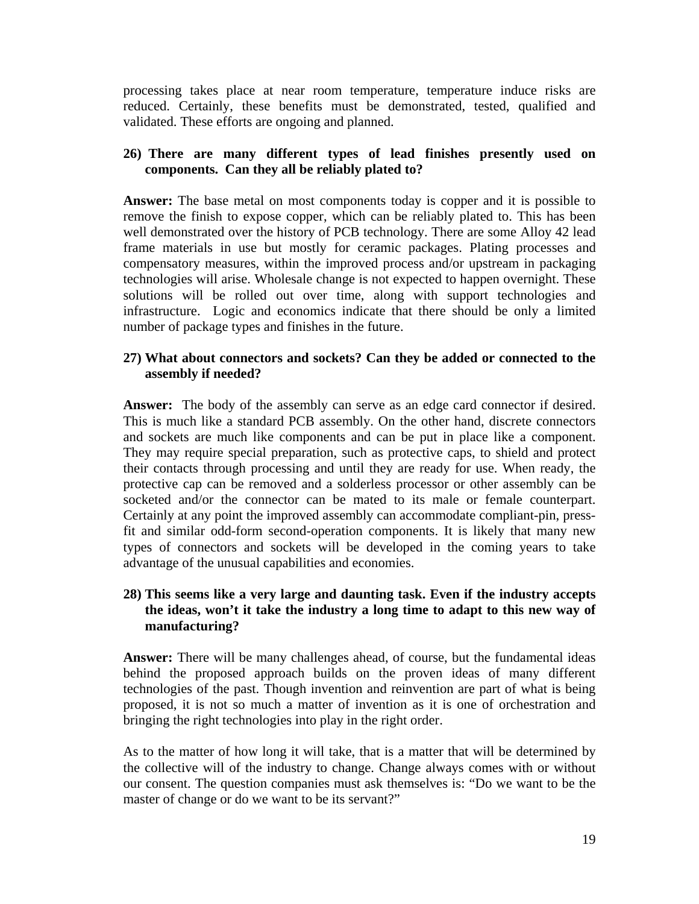processing takes place at near room temperature, temperature induce risks are reduced. Certainly, these benefits must be demonstrated, tested, qualified and validated. These efforts are ongoing and planned.

### **26) There are many different types of lead finishes presently used on components. Can they all be reliably plated to?**

**Answer:** The base metal on most components today is copper and it is possible to remove the finish to expose copper, which can be reliably plated to. This has been well demonstrated over the history of PCB technology. There are some Alloy 42 lead frame materials in use but mostly for ceramic packages. Plating processes and compensatory measures, within the improved process and/or upstream in packaging technologies will arise. Wholesale change is not expected to happen overnight. These solutions will be rolled out over time, along with support technologies and infrastructure. Logic and economics indicate that there should be only a limited number of package types and finishes in the future.

#### **27) What about connectors and sockets? Can they be added or connected to the assembly if needed?**

**Answer:** The body of the assembly can serve as an edge card connector if desired. This is much like a standard PCB assembly. On the other hand, discrete connectors and sockets are much like components and can be put in place like a component. They may require special preparation, such as protective caps, to shield and protect their contacts through processing and until they are ready for use. When ready, the protective cap can be removed and a solderless processor or other assembly can be socketed and/or the connector can be mated to its male or female counterpart. Certainly at any point the improved assembly can accommodate compliant-pin, pressfit and similar odd-form second-operation components. It is likely that many new types of connectors and sockets will be developed in the coming years to take advantage of the unusual capabilities and economies.

### **28) This seems like a very large and daunting task. Even if the industry accepts the ideas, won't it take the industry a long time to adapt to this new way of manufacturing?**

**Answer:** There will be many challenges ahead, of course, but the fundamental ideas behind the proposed approach builds on the proven ideas of many different technologies of the past. Though invention and reinvention are part of what is being proposed, it is not so much a matter of invention as it is one of orchestration and bringing the right technologies into play in the right order.

As to the matter of how long it will take, that is a matter that will be determined by the collective will of the industry to change. Change always comes with or without our consent. The question companies must ask themselves is: "Do we want to be the master of change or do we want to be its servant?"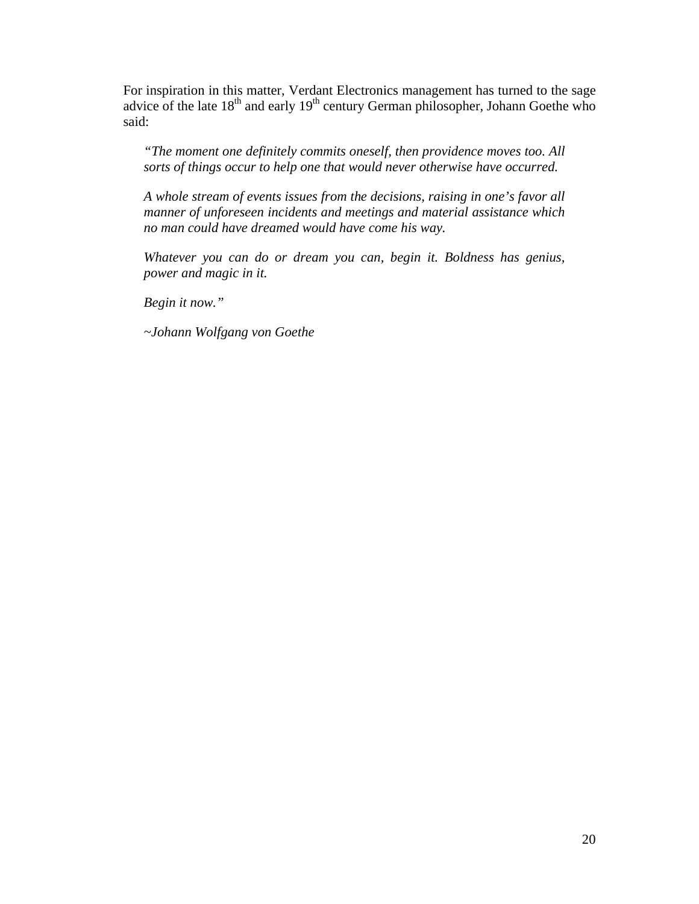For inspiration in this matter, Verdant Electronics management has turned to the sage advice of the late  $18<sup>th</sup>$  and early  $19<sup>th</sup>$  century German philosopher, Johann Goethe who said:

*"The moment one definitely commits oneself, then providence moves too. All sorts of things occur to help one that would never otherwise have occurred.* 

*A whole stream of events issues from the decisions, raising in one's favor all manner of unforeseen incidents and meetings and material assistance which no man could have dreamed would have come his way.* 

*Whatever you can do or dream you can, begin it. Boldness has genius, power and magic in it.* 

*Begin it now."* 

*~Johann Wolfgang von Goethe*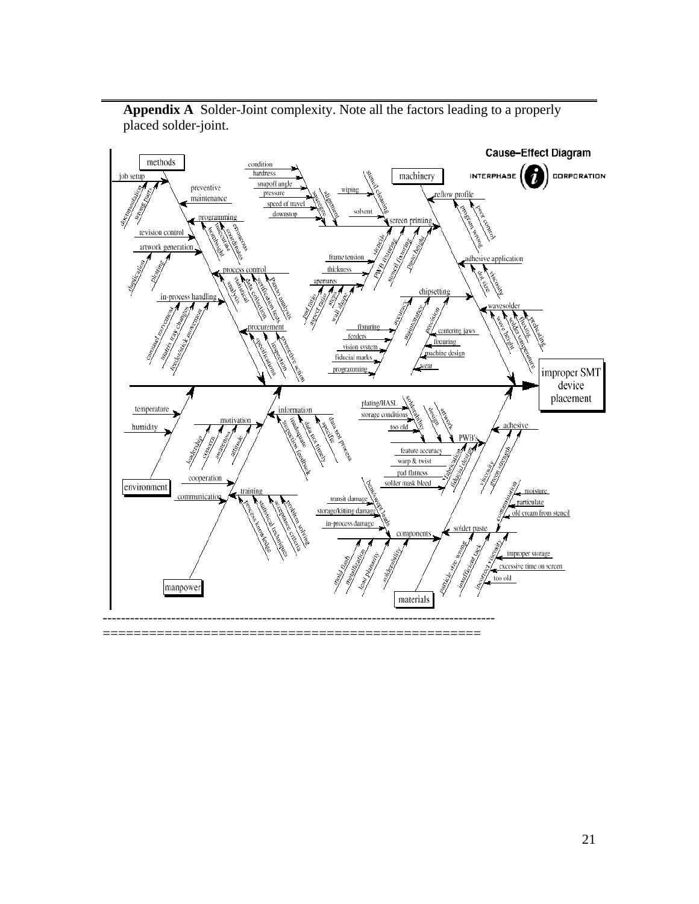

**Appendix A** Solder-Joint complexity. Note all the factors leading to a properly placed solder-joint.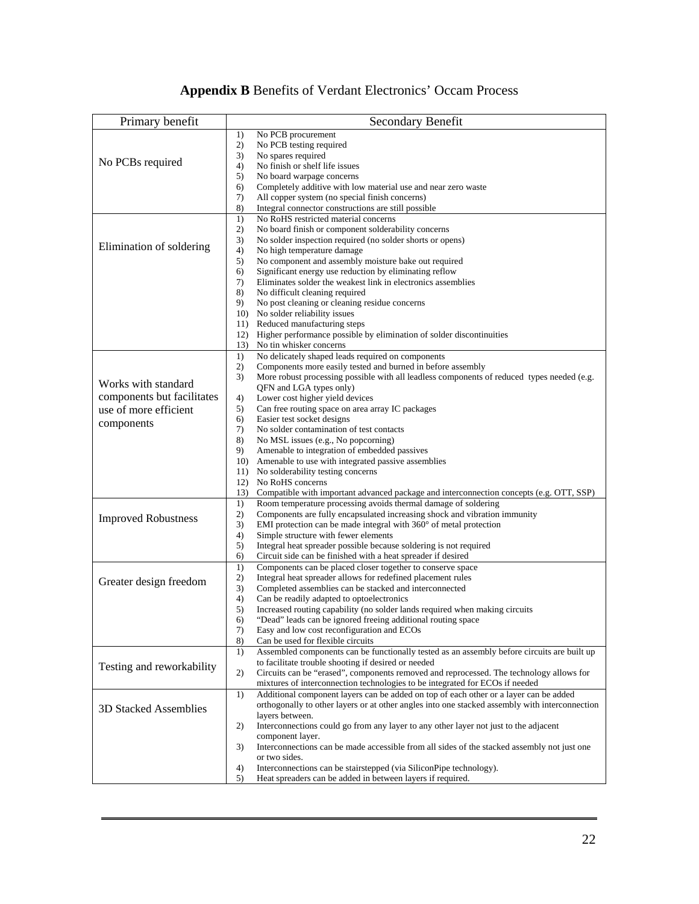# **Appendix B** Benefits of Verdant Electronics' Occam Process

| Primary benefit            | Secondary Benefit                                                                                                                                                     |
|----------------------------|-----------------------------------------------------------------------------------------------------------------------------------------------------------------------|
|                            | No PCB procurement<br>1)                                                                                                                                              |
| No PCBs required           | 2)<br>No PCB testing required                                                                                                                                         |
|                            | 3)<br>No spares required<br>4)<br>No finish or shelf life issues                                                                                                      |
|                            | 5)<br>No board warpage concerns                                                                                                                                       |
|                            | 6)<br>Completely additive with low material use and near zero waste                                                                                                   |
|                            | 7)<br>All copper system (no special finish concerns)                                                                                                                  |
|                            | 8)<br>Integral connector constructions are still possible                                                                                                             |
|                            | No RoHS restricted material concerns<br>1)                                                                                                                            |
| Elimination of soldering   | 2)<br>No board finish or component solderability concerns                                                                                                             |
|                            | 3)<br>No solder inspection required (no solder shorts or opens)<br>4)<br>No high temperature damage                                                                   |
|                            | 5)<br>No component and assembly moisture bake out required                                                                                                            |
|                            | Significant energy use reduction by eliminating reflow<br>6)                                                                                                          |
|                            | 7)<br>Eliminates solder the weakest link in electronics assemblies                                                                                                    |
|                            | 8)<br>No difficult cleaning required                                                                                                                                  |
|                            | 9)<br>No post cleaning or cleaning residue concerns                                                                                                                   |
|                            | 10)<br>No solder reliability issues<br>Reduced manufacturing steps                                                                                                    |
|                            | 11)<br>Higher performance possible by elimination of solder discontinuities<br>12)                                                                                    |
|                            | No tin whisker concerns<br>13)                                                                                                                                        |
|                            | No delicately shaped leads required on components<br>1)                                                                                                               |
|                            | 2)<br>Components more easily tested and burned in before assembly                                                                                                     |
| Works with standard        | 3)<br>More robust processing possible with all leadless components of reduced types needed (e.g.                                                                      |
|                            | QFN and LGA types only)                                                                                                                                               |
| components but facilitates | Lower cost higher yield devices<br>4)<br>Can free routing space on area array IC packages                                                                             |
| use of more efficient      | 5)<br>Easier test socket designs<br>6)                                                                                                                                |
| components                 | 7)<br>No solder contamination of test contacts                                                                                                                        |
|                            | 8)<br>No MSL issues (e.g., No popcorning)                                                                                                                             |
|                            | 9)<br>Amenable to integration of embedded passives                                                                                                                    |
|                            | Amenable to use with integrated passive assemblies<br>10)                                                                                                             |
|                            | 11)<br>No solderability testing concerns<br>No RoHS concerns                                                                                                          |
|                            | 12)<br>13)<br>Compatible with important advanced package and interconnection concepts (e.g. OTT, SSP)                                                                 |
|                            | Room temperature processing avoids thermal damage of soldering<br>1)                                                                                                  |
| <b>Improved Robustness</b> | 2)<br>Components are fully encapsulated increasing shock and vibration immunity                                                                                       |
|                            | 3)<br>EMI protection can be made integral with $360^{\circ}$ of metal protection                                                                                      |
|                            | 4)<br>Simple structure with fewer elements                                                                                                                            |
|                            | 5)<br>Integral heat spreader possible because soldering is not required                                                                                               |
|                            | 6)<br>Circuit side can be finished with a heat spreader if desired<br>1)<br>Components can be placed closer together to conserve space                                |
|                            | 2)<br>Integral heat spreader allows for redefined placement rules                                                                                                     |
| Greater design freedom     | 3)<br>Completed assemblies can be stacked and interconnected                                                                                                          |
|                            | 4)<br>Can be readily adapted to optoelectronics                                                                                                                       |
|                            | 5)<br>Increased routing capability (no solder lands required when making circuits                                                                                     |
|                            | 6)<br>"Dead" leads can be ignored freeing additional routing space                                                                                                    |
|                            | 7)<br>Easy and low cost reconfiguration and ECOs<br>8)<br>Can be used for flexible circuits                                                                           |
|                            | Assembled components can be functionally tested as an assembly before circuits are built up<br>1)                                                                     |
| Testing and reworkability  | to facilitate trouble shooting if desired or needed                                                                                                                   |
|                            | 2)<br>Circuits can be "erased", components removed and reprocessed. The technology allows for                                                                         |
|                            | mixtures of interconnection technologies to be integrated for ECOs if needed<br>Additional component layers can be added on top of each other or a layer can be added |
|                            | 1)<br>orthogonally to other layers or at other angles into one stacked assembly with interconnection                                                                  |
| 3D Stacked Assemblies      | layers between.                                                                                                                                                       |
|                            | Interconnections could go from any layer to any other layer not just to the adjacent<br>2)                                                                            |
|                            | component layer.                                                                                                                                                      |
|                            | Interconnections can be made accessible from all sides of the stacked assembly not just one<br>3)                                                                     |
|                            | or two sides.                                                                                                                                                         |
|                            | 4)<br>Interconnections can be stairstepped (via SiliconPipe technology).<br>Heat spreaders can be added in between layers if required.<br>5)                          |
|                            |                                                                                                                                                                       |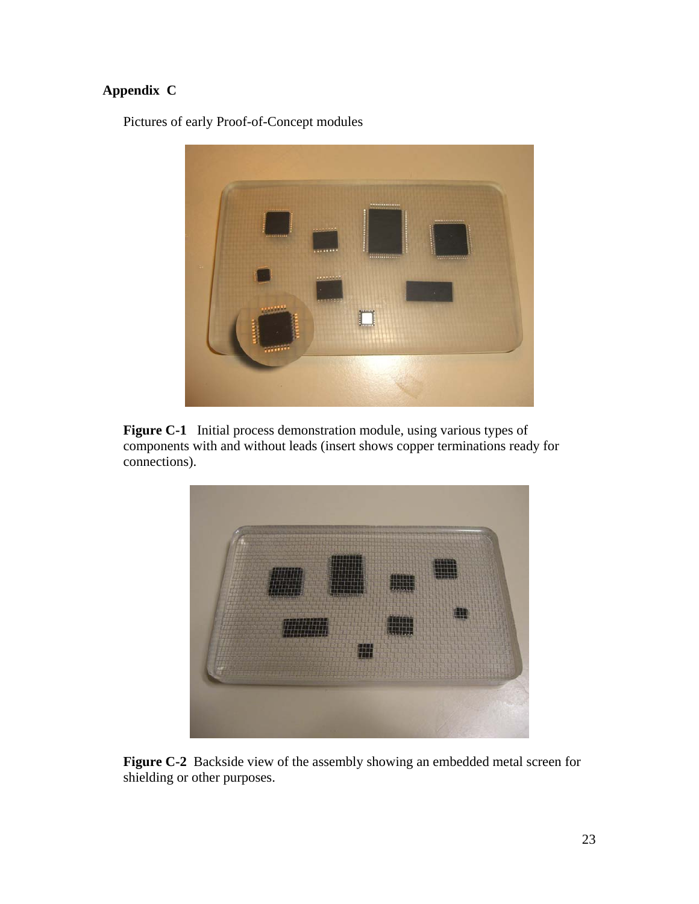# **Appendix C**

Pictures of early Proof-of-Concept modules



**Figure C-1** Initial process demonstration module, using various types of components with and without leads (insert shows copper terminations ready for connections).



**Figure C-2** Backside view of the assembly showing an embedded metal screen for shielding or other purposes.